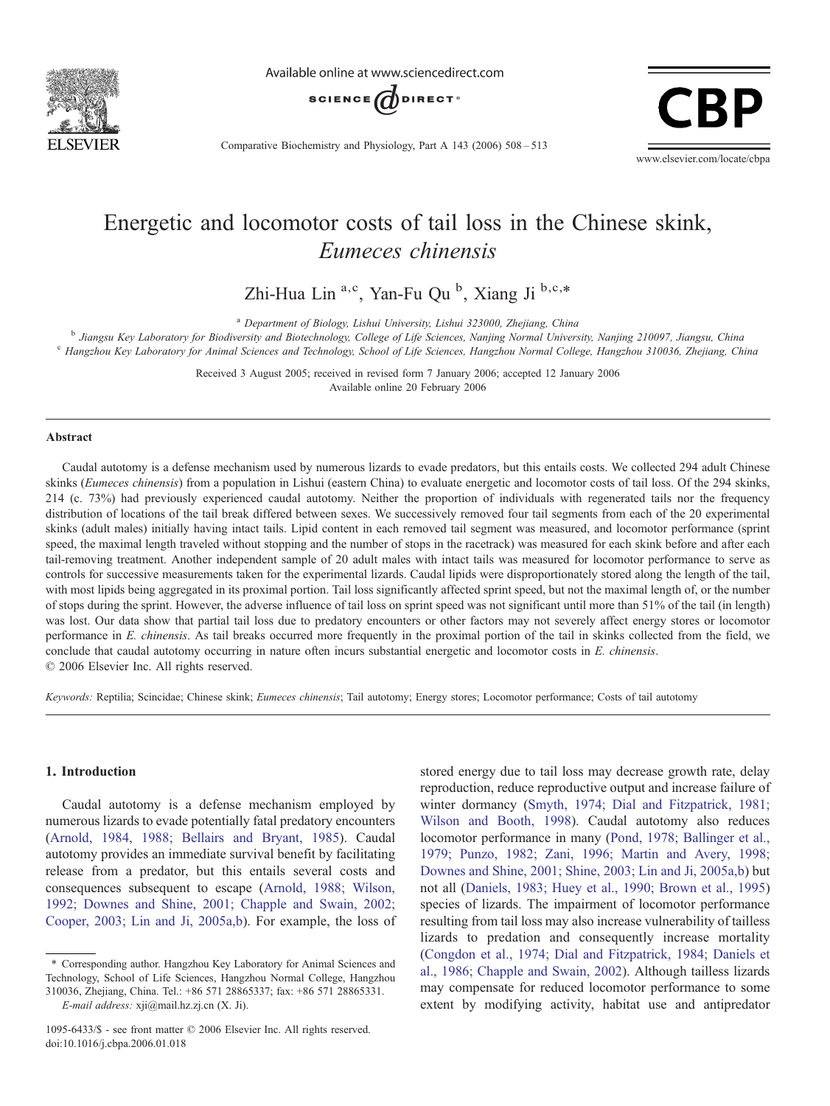

Available online at www.sciencedirect.com



Comparative Biochemistry and Physiology, Part A 143 (2006) 508–513



# Energetic and locomotor costs of tail loss in the Chinese skink, Eumeces chinensis

Zhi-Hua Lin<sup>a,c</sup>, Yan-Fu Qu<sup>b</sup>, Xiang Ji<sup>b,c,\*</sup>

<sup>a</sup> Department of Biology, Lishui University, Lishui 323000, Zhejiang, China<br><sup>b</sup> Jiangsu Key Laboratory for Biodiversity and Biotechnology, College of Life Sciences, Nanjing Normal University, Nanjing 210097, Jiangsu, Chin

Received 3 August 2005; received in revised form 7 January 2006; accepted 12 January 2006 Available online 20 February 2006

#### Abstract

Caudal autotomy is a defense mechanism used by numerous lizards to evade predators, but this entails costs. We collected 294 adult Chinese skinks (Eumeces chinensis) from a population in Lishui (eastern China) to evaluate energetic and locomotor costs of tail loss. Of the 294 skinks, 214 (c. 73%) had previously experienced caudal autotomy. Neither the proportion of individuals with regenerated tails nor the frequency distribution of locations of the tail break differed between sexes. We successively removed four tail segments from each of the 20 experimental skinks (adult males) initially having intact tails. Lipid content in each removed tail segment was measured, and locomotor performance (sprint speed, the maximal length traveled without stopping and the number of stops in the racetrack) was measured for each skink before and after each tail-removing treatment. Another independent sample of 20 adult males with intact tails was measured for locomotor performance to serve as controls for successive measurements taken for the experimental lizards. Caudal lipids were disproportionately stored along the length of the tail, with most lipids being aggregated in its proximal portion. Tail loss significantly affected sprint speed, but not the maximal length of, or the number of stops during the sprint. However, the adverse influence of tail loss on sprint speed was not significant until more than 51% of the tail (in length) was lost. Our data show that partial tail loss due to predatory encounters or other factors may not severely affect energy stores or locomotor performance in E. chinensis. As tail breaks occurred more frequently in the proximal portion of the tail in skinks collected from the field, we conclude that caudal autotomy occurring in nature often incurs substantial energetic and locomotor costs in E. chinensis. © 2006 Elsevier Inc. All rights reserved.

Keywords: Reptilia; Scincidae; Chinese skink; Eumeces chinensis; Tail autotomy; Energy stores; Locomotor performance; Costs of tail autotomy

## 1. Introduction

Caudal autotomy is a defense mechanism employed by numerous lizards to evade potentially fatal predatory encounters ([Arnold, 1984, 1988; Bellairs and Bryant, 1985\)](#page-4-0). Caudal autotomy provides an immediate survival benefit by facilitating release from a predator, but this entails several costs and consequences subsequent to escape [\(Arnold, 1988; Wilson,](#page-4-0) [1992; Downes and Shine, 2001; Chapple and Swain, 2002;](#page-4-0) [Cooper, 2003; Lin and Ji, 2005a,b](#page-4-0)). For example, the loss of stored energy due to tail loss may decrease growth rate, delay reproduction, reduce reproductive output and increase failure of winter dormancy [\(Smyth, 1974; Dial and Fitzpatrick, 1981;](#page-5-0) [Wilson and Booth, 1998](#page-5-0)). Caudal autotomy also reduces locomotor performance in many [\(Pond, 1978; Ballinger et al.,](#page-5-0) [1979; Punzo, 1982; Zani, 1996; Martin and Avery, 1998;](#page-5-0) [Downes and Shine, 2001; Shine, 2003; Lin and Ji, 2005a,b](#page-5-0)) but not all [\(Daniels, 1983; Huey et al., 1990; Brown et al., 1995\)](#page-4-0) species of lizards. The impairment of locomotor performance resulting from tail loss may also increase vulnerability of tailless lizards to predation and consequently increase mortality ([Congdon et al., 1974; Dial and Fitzpatrick, 1984; Daniels et](#page-4-0) [al., 1986; Chapple and Swain, 2002\)](#page-4-0). Although tailless lizards may compensate for reduced locomotor performance to some extent by modifying activity, habitat use and antipredator

<sup>⁎</sup> Corresponding author. Hangzhou Key Laboratory for Animal Sciences and Technology, School of Life Sciences, Hangzhou Normal College, Hangzhou 310036, Zhejiang, China. Tel.: +86 571 28865337; fax: +86 571 28865331.

E-mail address: xji@mail.hz.zj.cn (X. Ji).

<sup>1095-6433/\$ -</sup> see front matter © 2006 Elsevier Inc. All rights reserved. doi:10.1016/j.cbpa.2006.01.018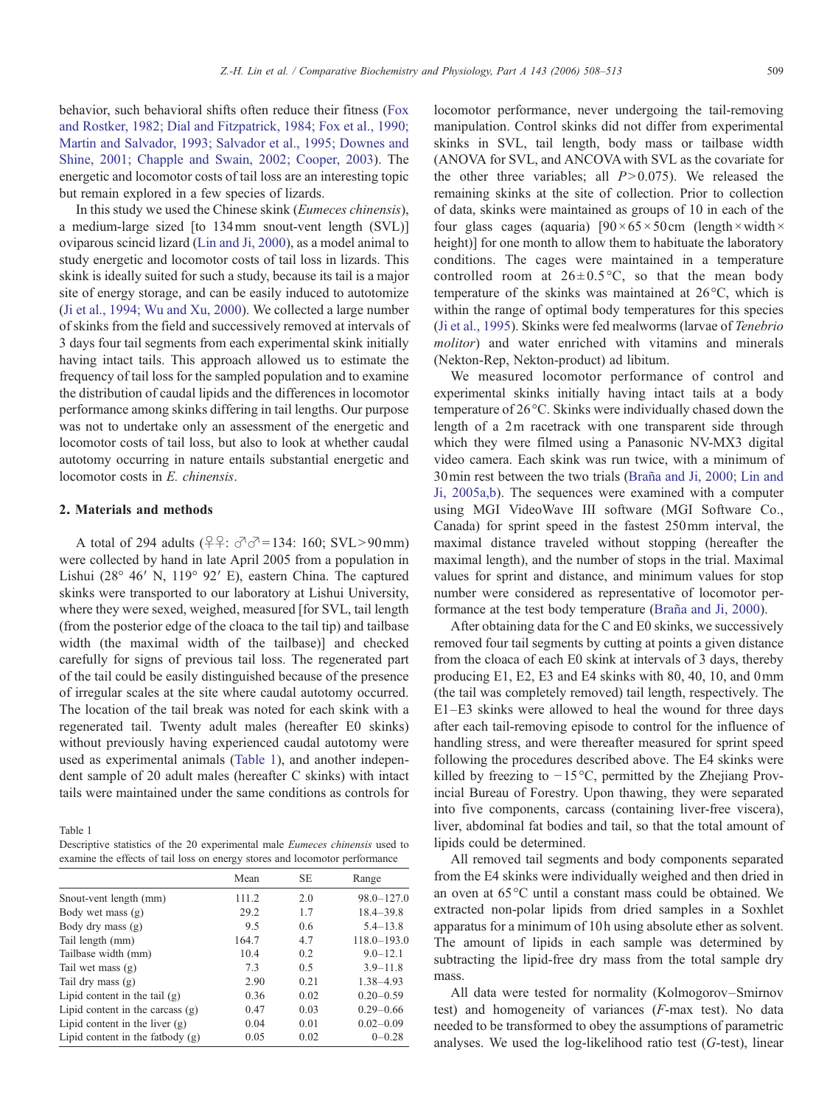<span id="page-1-0"></span>behavior, such behavioral shifts often reduce their fitness [\(Fox](#page-4-0) [and Rostker, 1982; Dial and Fitzpatrick, 1984; Fox et al., 1990;](#page-4-0) [Martin and Salvador, 1993; Salvador et al., 1995; Downes and](#page-4-0) [Shine, 2001; Chapple and Swain, 2002; Cooper, 2003](#page-4-0)). The energetic and locomotor costs of tail loss are an interesting topic but remain explored in a few species of lizards.

In this study we used the Chinese skink (Eumeces chinensis), a medium-large sized [to 134mm snout-vent length (SVL)] oviparous scincid lizard ([Lin and Ji, 2000](#page-5-0)), as a model animal to study energetic and locomotor costs of tail loss in lizards. This skink is ideally suited for such a study, because its tail is a major site of energy storage, and can be easily induced to autotomize ([Ji et al., 1994; Wu and Xu, 2000](#page-5-0)). We collected a large number of skinks from the field and successively removed at intervals of 3 days four tail segments from each experimental skink initially having intact tails. This approach allowed us to estimate the frequency of tail loss for the sampled population and to examine the distribution of caudal lipids and the differences in locomotor performance among skinks differing in tail lengths. Our purpose was not to undertake only an assessment of the energetic and locomotor costs of tail loss, but also to look at whether caudal autotomy occurring in nature entails substantial energetic and locomotor costs in E. chinensis.

### 2. Materials and methods

A total of 294 adults ( $24$ :  $\sigma$  $\sigma$ =134: 160; SVL>90mm) were collected by hand in late April 2005 from a population in Lishui (28° 46′ N, 119° 92′ E), eastern China. The captured skinks were transported to our laboratory at Lishui University, where they were sexed, weighed, measured [for SVL, tail length (from the posterior edge of the cloaca to the tail tip) and tailbase width (the maximal width of the tailbase)] and checked carefully for signs of previous tail loss. The regenerated part of the tail could be easily distinguished because of the presence of irregular scales at the site where caudal autotomy occurred. The location of the tail break was noted for each skink with a regenerated tail. Twenty adult males (hereafter E0 skinks) without previously having experienced caudal autotomy were used as experimental animals (Table 1), and another independent sample of 20 adult males (hereafter C skinks) with intact tails were maintained under the same conditions as controls for

Table 1

| Descriptive statistics of the 20 experimental male <i>Eumeces chinensis</i> used to |  |  |  |  |
|-------------------------------------------------------------------------------------|--|--|--|--|
| examine the effects of tail loss on energy stores and locomotor performance         |  |  |  |  |

|                                    | Mean  | <b>SE</b> | Range           |
|------------------------------------|-------|-----------|-----------------|
| Snout-vent length (mm)             | 111.2 | 2.0       | $98.0 - 127.0$  |
| Body wet mass (g)                  | 29.2  | 1.7       | $18.4 - 39.8$   |
| Body dry mass (g)                  | 9.5   | 0.6       | $5.4 - 13.8$    |
| Tail length (mm)                   | 164.7 | 4.7       | $118.0 - 193.0$ |
| Tailbase width (mm)                | 10.4  | 0.2       | $9.0 - 12.1$    |
| Tail wet mass $(g)$                | 7.3   | 0.5       | $3.9 - 11.8$    |
| Tail dry mass $(g)$                | 2.90  | 0.21      | 1.38-4.93       |
| Lipid content in the tail $(g)$    | 0.36  | 0.02      | $0.20 - 0.59$   |
| Lipid content in the carcass $(g)$ | 0.47  | 0.03      | $0.29 - 0.66$   |
| Lipid content in the liver $(g)$   | 0.04  | 0.01      | $0.02 - 0.09$   |
| Lipid content in the fatbody $(g)$ | 0.05  | 0.02      | $0 - 0.28$      |

locomotor performance, never undergoing the tail-removing manipulation. Control skinks did not differ from experimental skinks in SVL, tail length, body mass or tailbase width (ANOVA for SVL, and ANCOVA with SVL as the covariate for the other three variables; all  $P > 0.075$ ). We released the remaining skinks at the site of collection. Prior to collection of data, skinks were maintained as groups of 10 in each of the four glass cages (aquaria)  $[90 \times 65 \times 50 \text{ cm}$  (length  $\times$  width  $\times$ height)] for one month to allow them to habituate the laboratory conditions. The cages were maintained in a temperature controlled room at  $26 \pm 0.5^{\circ}$ C, so that the mean body temperature of the skinks was maintained at 26°C, which is within the range of optimal body temperatures for this species ([Ji et al., 1995\)](#page-5-0). Skinks were fed mealworms (larvae of Tenebrio molitor) and water enriched with vitamins and minerals (Nekton-Rep, Nekton-product) ad libitum.

We measured locomotor performance of control and experimental skinks initially having intact tails at a body temperature of 26 °C. Skinks were individually chased down the length of a 2m racetrack with one transparent side through which they were filmed using a Panasonic NV-MX3 digital video camera. Each skink was run twice, with a minimum of 30min rest between the two trials [\(Braña and Ji, 2000; Lin and](#page-4-0) [Ji, 2005a,b](#page-4-0)). The sequences were examined with a computer using MGI VideoWave III software (MGI Software Co., Canada) for sprint speed in the fastest 250mm interval, the maximal distance traveled without stopping (hereafter the maximal length), and the number of stops in the trial. Maximal values for sprint and distance, and minimum values for stop number were considered as representative of locomotor performance at the test body temperature ([Braña and Ji, 2000\)](#page-4-0).

After obtaining data for the C and E0 skinks, we successively removed four tail segments by cutting at points a given distance from the cloaca of each E0 skink at intervals of 3 days, thereby producing E1, E2, E3 and E4 skinks with 80, 40, 10, and 0mm (the tail was completely removed) tail length, respectively. The E1–E3 skinks were allowed to heal the wound for three days after each tail-removing episode to control for the influence of handling stress, and were thereafter measured for sprint speed following the procedures described above. The E4 skinks were killed by freezing to −15 °C, permitted by the Zhejiang Provincial Bureau of Forestry. Upon thawing, they were separated into five components, carcass (containing liver-free viscera), liver, abdominal fat bodies and tail, so that the total amount of lipids could be determined.

All removed tail segments and body components separated from the E4 skinks were individually weighed and then dried in an oven at 65 °C until a constant mass could be obtained. We extracted non-polar lipids from dried samples in a Soxhlet apparatus for a minimum of 10h using absolute ether as solvent. The amount of lipids in each sample was determined by subtracting the lipid-free dry mass from the total sample dry mass.

All data were tested for normality (Kolmogorov–Smirnov test) and homogeneity of variances (F-max test). No data needed to be transformed to obey the assumptions of parametric analyses. We used the log-likelihood ratio test  $(G$ -test), linear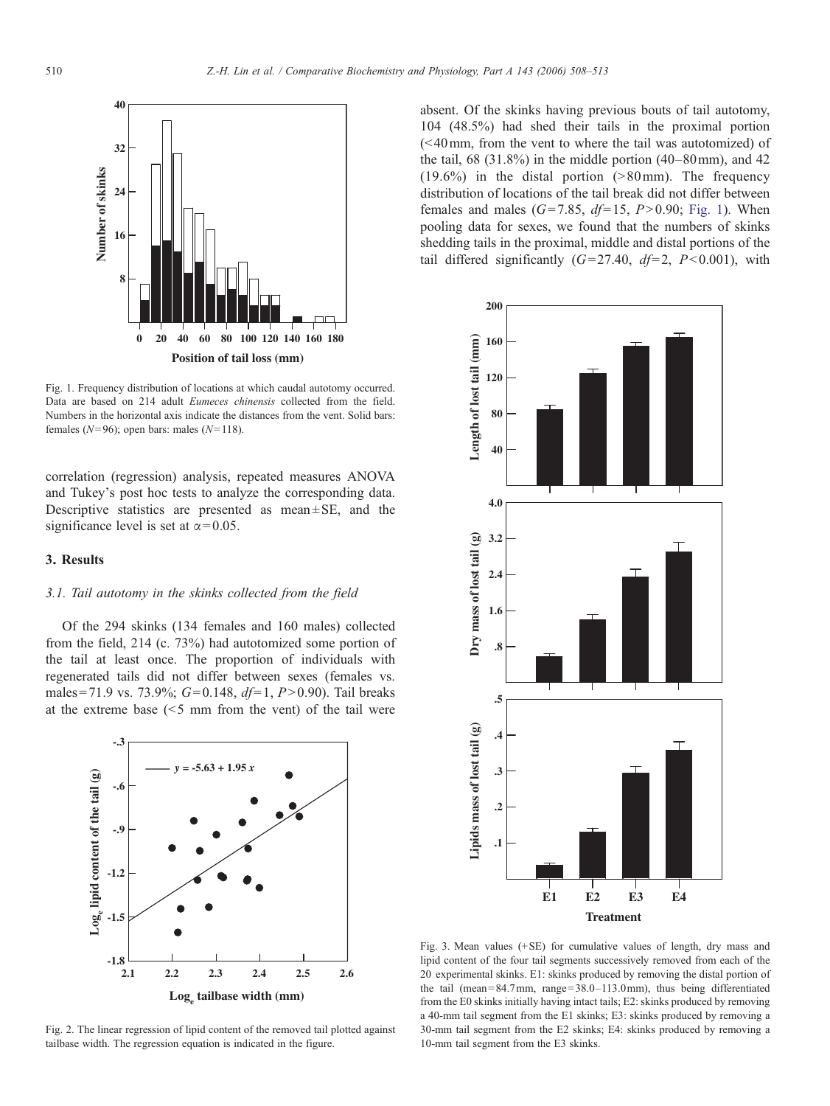<span id="page-2-0"></span>

Fig. 1. Frequency distribution of locations at which caudal autotomy occurred. Data are based on 214 adult Eumeces chinensis collected from the field. Numbers in the horizontal axis indicate the distances from the vent. Solid bars: females ( $N=96$ ); open bars: males ( $N=118$ ).

correlation (regression) analysis, repeated measures ANOVA and Tukey's post hoc tests to analyze the corresponding data. Descriptive statistics are presented as mean $\pm$ SE, and the significance level is set at  $\alpha$  = 0.05.

## 3. Results

#### 3.1. Tail autotomy in the skinks collected from the field

Of the 294 skinks (134 females and 160 males) collected from the field, 214 (c. 73%) had autotomized some portion of the tail at least once. The proportion of individuals with regenerated tails did not differ between sexes (females vs. males = 71.9 vs. 73.9%;  $G=0.148$ ,  $df=1$ ,  $P>0.90$ ). Tail breaks at the extreme base  $(5 \, \text{mm}$  from the vent) of the tail were



Fig. 2. The linear regression of lipid content of the removed tail plotted against tailbase width. The regression equation is indicated in the figure.

absent. Of the skinks having previous bouts of tail autotomy, 104 (48.5%) had shed their tails in the proximal portion  $( $40 \text{ mm}$  from the vent to where the tail was autotomized) of$ the tail,  $68$   $(31.8\%)$  in the middle portion  $(40-80\,\text{mm})$ , and  $42$  $(19.6\%)$  in the distal portion ( $>80$  mm). The frequency distribution of locations of the tail break did not differ between females and males ( $G=7.85$ ,  $df=15$ ,  $P>0.90$ ; Fig. 1). When pooling data for sexes, we found that the numbers of skinks shedding tails in the proximal, middle and distal portions of the tail differed significantly  $(G= 27.40, df= 2, P< 0.001)$ , with



Fig. 3. Mean values (+SE) for cumulative values of length, dry mass and lipid content of the four tail segments successively removed from each of the 20 experimental skinks. E1: skinks produced by removing the distal portion of the tail (mean =  $84.7$  mm, range =  $38.0 - 113.0$  mm), thus being differentiated from the E0 skinks initially having intact tails; E2: skinks produced by removing a 40-mm tail segment from the E1 skinks; E3: skinks produced by removing a 30-mm tail segment from the E2 skinks; E4: skinks produced by removing a 10-mm tail segment from the E3 skinks.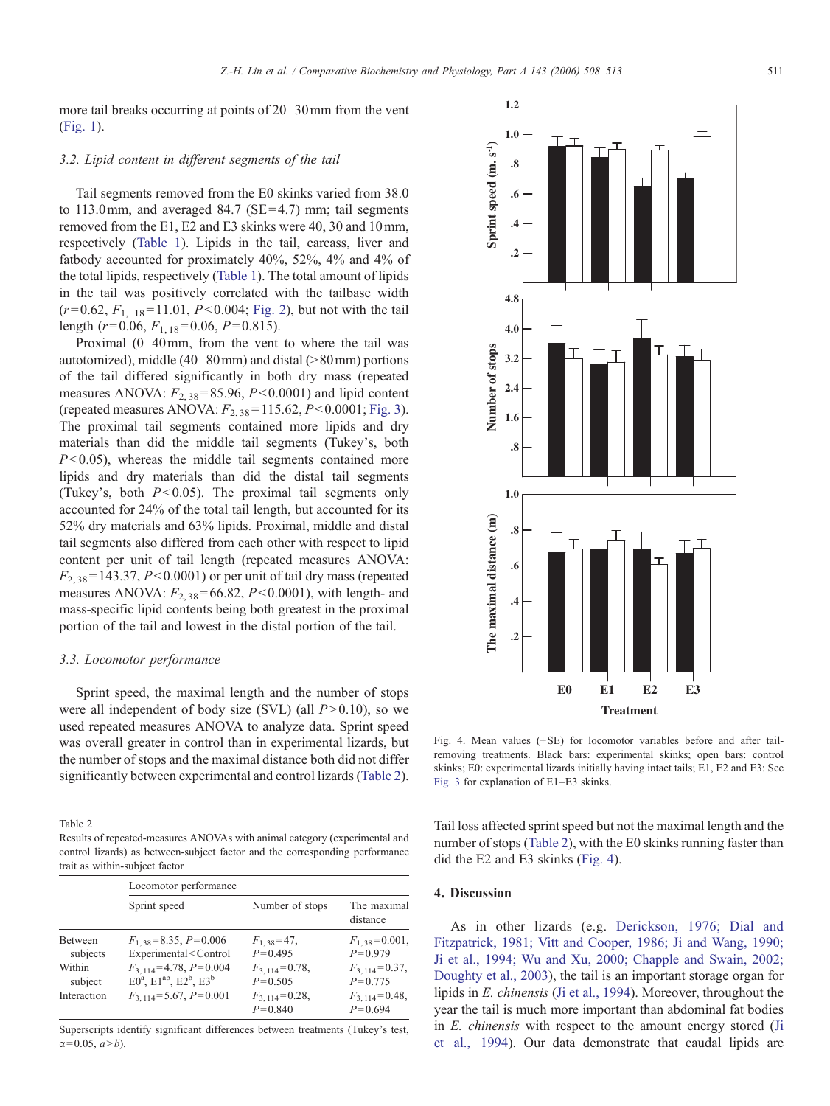<span id="page-3-0"></span>more tail breaks occurring at points of 20–30mm from the vent

#### 3.2. Lipid content in different segments of the tail

([Fig. 1](#page-2-0)).

Tail segments removed from the E0 skinks varied from 38.0 to 113.0 mm, and averaged 84.7 ( $SE = 4.7$ ) mm; tail segments removed from the E1, E2 and E3 skinks were 40, 30 and 10mm, respectively [\(Table 1](#page-1-0)). Lipids in the tail, carcass, liver and fatbody accounted for proximately 40%, 52%, 4% and 4% of the total lipids, respectively ([Table 1\)](#page-1-0). The total amount of lipids in the tail was positively correlated with the tailbase width  $(r= 0.62, F<sub>1, 18</sub> = 11.01, P< 0.004; Fig. 2)$  $(r= 0.62, F<sub>1, 18</sub> = 11.01, P< 0.004; Fig. 2)$  $(r= 0.62, F<sub>1, 18</sub> = 11.01, P< 0.004; Fig. 2)$ , but not with the tail length ( $r = 0.06$ ,  $F_{1, 18} = 0.06$ ,  $P = 0.815$ ).

Proximal (0–40mm, from the vent to where the tail was autotomized), middle  $(40-80 \text{ mm})$  and distal  $(>80 \text{ mm})$  portions of the tail differed significantly in both dry mass (repeated measures ANOVA:  $F_{2,38}$ =85.96, P<0.0001) and lipid content (repeated measures ANOVA:  $F_{2,38}$ =115.62, P<0.0001; [Fig. 3\)](#page-2-0). The proximal tail segments contained more lipids and dry materials than did the middle tail segments (Tukey's, both  $P<0.05$ ), whereas the middle tail segments contained more lipids and dry materials than did the distal tail segments (Tukey's, both  $P<0.05$ ). The proximal tail segments only accounted for 24% of the total tail length, but accounted for its 52% dry materials and 63% lipids. Proximal, middle and distal tail segments also differed from each other with respect to lipid content per unit of tail length (repeated measures ANOVA:  $F_{2,38}$ = 143.37, P<0.0001) or per unit of tail dry mass (repeated measures ANOVA:  $F_{2,38}$ =66.82, P<0.0001), with length- and mass-specific lipid contents being both greatest in the proximal portion of the tail and lowest in the distal portion of the tail.

#### 3.3. Locomotor performance

Sprint speed, the maximal length and the number of stops were all independent of body size (SVL) (all  $P > 0.10$ ), so we used repeated measures ANOVA to analyze data. Sprint speed was overall greater in control than in experimental lizards, but the number of stops and the maximal distance both did not differ significantly between experimental and control lizards (Table 2).

Table 2

Results of repeated-measures ANOVAs with animal category (experimental and control lizards) as between-subject factor and the corresponding performance trait as within-subject factor

|                     | Locomotor performance                                                                                                                                                                                   |                                   |                                     |  |  |
|---------------------|---------------------------------------------------------------------------------------------------------------------------------------------------------------------------------------------------------|-----------------------------------|-------------------------------------|--|--|
|                     | Sprint speed                                                                                                                                                                                            | Number of stops                   | The maximal<br>distance             |  |  |
| Between<br>subjects | $F_{1,38} = 8.35, P = 0.006$<br>Experimental <control< td=""><td><math>F_{1,38} = 47</math>,<br/><math>P=0.495</math></td><td><math>F_{1,38} = 0.001</math>,<br/><math>P = 0.979</math></td></control<> | $F_{1,38} = 47$ ,<br>$P=0.495$    | $F_{1,38} = 0.001$ ,<br>$P = 0.979$ |  |  |
| Within<br>subject   | $F_{3,114} = 4.78, P = 0.004$<br>$E0^a$ , $E1^{ab}$ , $E2^b$ , $E3^b$                                                                                                                                   | $F_{3.114} = 0.78$ ,<br>$P=0.505$ | $F_{3,114} = 0.37$ ,<br>$P = 0.775$ |  |  |
| Interaction         | $F_{3,114} = 5.67, P = 0.001$                                                                                                                                                                           | $F_{3,114} = 0.28$ ,<br>$P=0.840$ | $F_{3,114} = 0.48$ ,<br>$P = 0.694$ |  |  |

Superscripts identify significant differences between treatments (Tukey's test,  $\alpha = 0.05, a > b$ ).



Fig. 4. Mean values (+SE) for locomotor variables before and after tailremoving treatments. Black bars: experimental skinks; open bars: control skinks; E0: experimental lizards initially having intact tails; E1, E2 and E3: See [Fig. 3](#page-2-0) for explanation of E1–E3 skinks.

Tail loss affected sprint speed but not the maximal length and the number of stops (Table 2), with the E0 skinks running faster than did the E2 and E3 skinks (Fig. 4).

## 4. Discussion

As in other lizards (e.g. [Derickson, 1976; Dial and](#page-4-0) [Fitzpatrick, 1981; Vitt and Cooper, 1986; Ji and Wang, 1990;](#page-4-0) [Ji et al., 1994; Wu and Xu, 2000; Chapple and Swain, 2002;](#page-4-0) [Doughty et al., 2003\)](#page-4-0), the tail is an important storage organ for lipids in E. chinensis ([Ji et al., 1994\)](#page-5-0). Moreover, throughout the year the tail is much more important than abdominal fat bodies in E. chinensis with respect to the amount energy stored [\(Ji](#page-5-0) [et al., 1994\)](#page-5-0). Our data demonstrate that caudal lipids are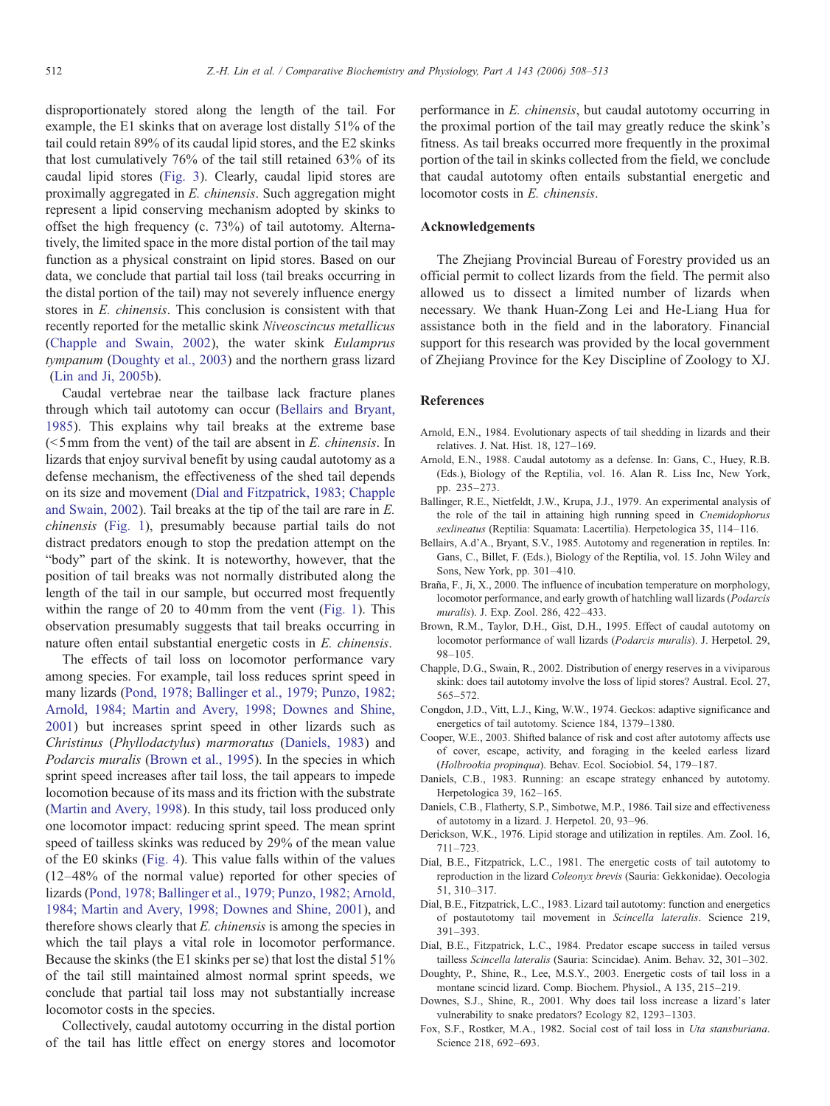<span id="page-4-0"></span>disproportionately stored along the length of the tail. For example, the E1 skinks that on average lost distally 51% of the tail could retain 89% of its caudal lipid stores, and the E2 skinks that lost cumulatively 76% of the tail still retained 63% of its caudal lipid stores ([Fig. 3](#page-2-0)). Clearly, caudal lipid stores are proximally aggregated in E. chinensis. Such aggregation might represent a lipid conserving mechanism adopted by skinks to offset the high frequency (c. 73%) of tail autotomy. Alternatively, the limited space in the more distal portion of the tail may function as a physical constraint on lipid stores. Based on our data, we conclude that partial tail loss (tail breaks occurring in the distal portion of the tail) may not severely influence energy stores in E. chinensis. This conclusion is consistent with that recently reported for the metallic skink Niveoscincus metallicus (Chapple and Swain, 2002), the water skink Eulamprus tympanum (Doughty et al., 2003) and the northern grass lizard ([Lin and Ji, 2005b](#page-5-0)).

Caudal vertebrae near the tailbase lack fracture planes through which tail autotomy can occur (Bellairs and Bryant, 1985). This explains why tail breaks at the extreme base  $\approx$  5mm from the vent) of the tail are absent in E. chinensis. In lizards that enjoy survival benefit by using caudal autotomy as a defense mechanism, the effectiveness of the shed tail depends on its size and movement (Dial and Fitzpatrick, 1983; Chapple and Swain, 2002). Tail breaks at the tip of the tail are rare in E. chinensis [\(Fig. 1](#page-2-0)), presumably because partial tails do not distract predators enough to stop the predation attempt on the "body" part of the skink. It is noteworthy, however, that the position of tail breaks was not normally distributed along the length of the tail in our sample, but occurred most frequently within the range of 20 to 40mm from the vent [\(Fig. 1\)](#page-2-0). This observation presumably suggests that tail breaks occurring in nature often entail substantial energetic costs in E. chinensis.

The effects of tail loss on locomotor performance vary among species. For example, tail loss reduces sprint speed in many lizards ([Pond, 1978; Ballinger et al., 1979; Punzo, 1982;](#page-5-0) [Arnold, 1984; Martin and Avery, 1998; Downes and Shine,](#page-5-0) [2001\)](#page-5-0) but increases sprint speed in other lizards such as Christinus (Phyllodactylus) marmoratus (Daniels, 1983) and Podarcis muralis (Brown et al., 1995). In the species in which sprint speed increases after tail loss, the tail appears to impede locomotion because of its mass and its friction with the substrate ([Martin and Avery, 1998](#page-5-0)). In this study, tail loss produced only one locomotor impact: reducing sprint speed. The mean sprint speed of tailless skinks was reduced by 29% of the mean value of the E0 skinks [\(Fig. 4](#page-3-0)). This value falls within of the values (12–48% of the normal value) reported for other species of lizards ([Pond, 1978; Ballinger et al., 1979; Punzo, 1982; Arnold,](#page-5-0) [1984; Martin and Avery, 1998; Downes and Shine, 2001\)](#page-5-0), and therefore shows clearly that  $E$ . *chinensis* is among the species in which the tail plays a vital role in locomotor performance. Because the skinks (the E1 skinks per se) that lost the distal 51% of the tail still maintained almost normal sprint speeds, we conclude that partial tail loss may not substantially increase locomotor costs in the species.

Collectively, caudal autotomy occurring in the distal portion of the tail has little effect on energy stores and locomotor performance in E. chinensis, but caudal autotomy occurring in the proximal portion of the tail may greatly reduce the skink's fitness. As tail breaks occurred more frequently in the proximal portion of the tail in skinks collected from the field, we conclude that caudal autotomy often entails substantial energetic and locomotor costs in E. chinensis.

## Acknowledgements

The Zhejiang Provincial Bureau of Forestry provided us an official permit to collect lizards from the field. The permit also allowed us to dissect a limited number of lizards when necessary. We thank Huan-Zong Lei and He-Liang Hua for assistance both in the field and in the laboratory. Financial support for this research was provided by the local government of Zhejiang Province for the Key Discipline of Zoology to XJ.

#### References

- Arnold, E.N., 1984. Evolutionary aspects of tail shedding in lizards and their relatives. J. Nat. Hist. 18, 127–169.
- Arnold, E.N., 1988. Caudal autotomy as a defense. In: Gans, C., Huey, R.B. (Eds.), Biology of the Reptilia, vol. 16. Alan R. Liss Inc, New York, pp. 235–273.
- Ballinger, R.E., Nietfeldt, J.W., Krupa, J.J., 1979. An experimental analysis of the role of the tail in attaining high running speed in Cnemidophorus sexlineatus (Reptilia: Squamata: Lacertilia). Herpetologica 35, 114–116.
- Bellairs, A.d'A., Bryant, S.V., 1985. Autotomy and regeneration in reptiles. In: Gans, C., Billet, F. (Eds.), Biology of the Reptilia, vol. 15. John Wiley and Sons, New York, pp. 301–410.
- Braña, F., Ji, X., 2000. The influence of incubation temperature on morphology, locomotor performance, and early growth of hatchling wall lizards (Podarcis muralis). J. Exp. Zool. 286, 422–433.
- Brown, R.M., Taylor, D.H., Gist, D.H., 1995. Effect of caudal autotomy on locomotor performance of wall lizards (Podarcis muralis). J. Herpetol. 29, 98–105.
- Chapple, D.G., Swain, R., 2002. Distribution of energy reserves in a viviparous skink: does tail autotomy involve the loss of lipid stores? Austral. Ecol. 27, 565–572.
- Congdon, J.D., Vitt, L.J., King, W.W., 1974. Geckos: adaptive significance and energetics of tail autotomy. Science 184, 1379–1380.
- Cooper, W.E., 2003. Shifted balance of risk and cost after autotomy affects use of cover, escape, activity, and foraging in the keeled earless lizard (Holbrookia propinqua). Behav. Ecol. Sociobiol. 54, 179–187.
- Daniels, C.B., 1983. Running: an escape strategy enhanced by autotomy. Herpetologica 39, 162–165.
- Daniels, C.B., Flatherty, S.P., Simbotwe, M.P., 1986. Tail size and effectiveness of autotomy in a lizard. J. Herpetol. 20, 93–96.
- Derickson, W.K., 1976. Lipid storage and utilization in reptiles. Am. Zool. 16, 711–723.
- Dial, B.E., Fitzpatrick, L.C., 1981. The energetic costs of tail autotomy to reproduction in the lizard Coleonyx brevis (Sauria: Gekkonidae). Oecologia 51, 310–317.
- Dial, B.E., Fitzpatrick, L.C., 1983. Lizard tail autotomy: function and energetics of postautotomy tail movement in Scincella lateralis. Science 219, 391–393.
- Dial, B.E., Fitzpatrick, L.C., 1984. Predator escape success in tailed versus tailless Scincella lateralis (Sauria: Scincidae). Anim. Behav. 32, 301–302.
- Doughty, P., Shine, R., Lee, M.S.Y., 2003. Energetic costs of tail loss in a montane scincid lizard. Comp. Biochem. Physiol., A 135, 215–219.
- Downes, S.J., Shine, R., 2001. Why does tail loss increase a lizard's later vulnerability to snake predators? Ecology 82, 1293–1303.
- Fox, S.F., Rostker, M.A., 1982. Social cost of tail loss in Uta stansburiana. Science 218, 692–693.